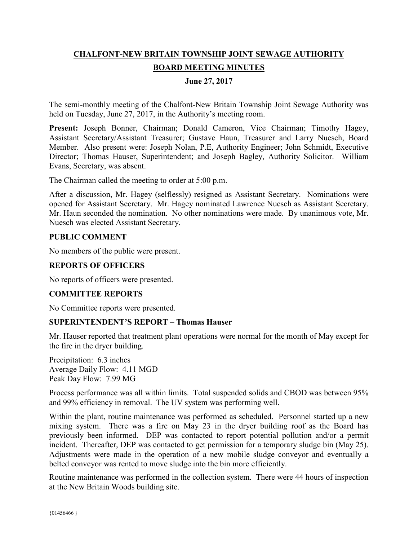# **CHALFONT-NEW BRITAIN TOWNSHIP JOINT SEWAGE AUTHORITY BOARD MEETING MINUTES**

## **June 27, 2017**

The semi-monthly meeting of the Chalfont-New Britain Township Joint Sewage Authority was held on Tuesday, June 27, 2017, in the Authority's meeting room.

Present: Joseph Bonner, Chairman; Donald Cameron, Vice Chairman; Timothy Hagey, Assistant Secretary/Assistant Treasurer; Gustave Haun, Treasurer and Larry Nuesch, Board Member. Also present were: Joseph Nolan, P.E, Authority Engineer; John Schmidt, Executive Director; Thomas Hauser, Superintendent; and Joseph Bagley, Authority Solicitor. William Evans, Secretary, was absent.

The Chairman called the meeting to order at 5:00 p.m.

After a discussion, Mr. Hagey (selflessly) resigned as Assistant Secretary. Nominations were opened for Assistant Secretary. Mr. Hagey nominated Lawrence Nuesch as Assistant Secretary. Mr. Haun seconded the nomination. No other nominations were made. By unanimous vote, Mr. Nuesch was elected Assistant Secretary.

#### **PUBLIC COMMENT**

No members of the public were present.

# **REPORTS OF OFFICERS**

No reports of officers were presented.

#### **COMMITTEE REPORTS**

No Committee reports were presented.

#### **SUPERINTENDENT'S REPORT – Thomas Hauser**

Mr. Hauser reported that treatment plant operations were normal for the month of May except for the fire in the dryer building.

Precipitation: 6.3 inches Average Daily Flow: 4.11 MGD Peak Day Flow: 7.99 MG

Process performance was all within limits. Total suspended solids and CBOD was between 95% and 99% efficiency in removal. The UV system was performing well.

Within the plant, routine maintenance was performed as scheduled. Personnel started up a new mixing system. There was a fire on May 23 in the dryer building roof as the Board has previously been informed. DEP was contacted to report potential pollution and/or a permit incident. Thereafter, DEP was contacted to get permission for a temporary sludge bin (May 25). Adjustments were made in the operation of a new mobile sludge conveyor and eventually a belted conveyor was rented to move sludge into the bin more efficiently.

Routine maintenance was performed in the collection system. There were 44 hours of inspection at the New Britain Woods building site.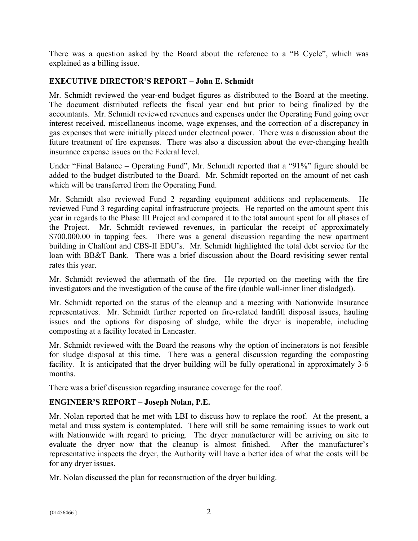There was a question asked by the Board about the reference to a "B Cycle", which was explained as a billing issue.

# **EXECUTIVE DIRECTOR'S REPORT – John E. Schmidt**

Mr. Schmidt reviewed the year-end budget figures as distributed to the Board at the meeting. The document distributed reflects the fiscal year end but prior to being finalized by the accountants. Mr. Schmidt reviewed revenues and expenses under the Operating Fund going over interest received, miscellaneous income, wage expenses, and the correction of a discrepancy in gas expenses that were initially placed under electrical power. There was a discussion about the future treatment of fire expenses. There was also a discussion about the ever-changing health insurance expense issues on the Federal level.

Under "Final Balance – Operating Fund", Mr. Schmidt reported that a "91%" figure should be added to the budget distributed to the Board. Mr. Schmidt reported on the amount of net cash which will be transferred from the Operating Fund.

Mr. Schmidt also reviewed Fund 2 regarding equipment additions and replacements. He reviewed Fund 3 regarding capital infrastructure projects. He reported on the amount spent this year in regards to the Phase III Project and compared it to the total amount spent for all phases of the Project. Mr. Schmidt reviewed revenues, in particular the receipt of approximately \$700,000.00 in tapping fees. There was a general discussion regarding the new apartment building in Chalfont and CBS-II EDU's. Mr. Schmidt highlighted the total debt service for the loan with BB&T Bank. There was a brief discussion about the Board revisiting sewer rental rates this year.

Mr. Schmidt reviewed the aftermath of the fire. He reported on the meeting with the fire investigators and the investigation of the cause of the fire (double wall-inner liner dislodged).

Mr. Schmidt reported on the status of the cleanup and a meeting with Nationwide Insurance representatives. Mr. Schmidt further reported on fire-related landfill disposal issues, hauling issues and the options for disposing of sludge, while the dryer is inoperable, including composting at a facility located in Lancaster.

Mr. Schmidt reviewed with the Board the reasons why the option of incinerators is not feasible for sludge disposal at this time. There was a general discussion regarding the composting facility. It is anticipated that the dryer building will be fully operational in approximately 3-6 months.

There was a brief discussion regarding insurance coverage for the roof.

# **ENGINEER'S REPORT – Joseph Nolan, P.E.**

Mr. Nolan reported that he met with LBI to discuss how to replace the roof. At the present, a metal and truss system is contemplated. There will still be some remaining issues to work out with Nationwide with regard to pricing. The dryer manufacturer will be arriving on site to evaluate the dryer now that the cleanup is almost finished. After the manufacturer's representative inspects the dryer, the Authority will have a better idea of what the costs will be for any dryer issues.

Mr. Nolan discussed the plan for reconstruction of the dryer building.